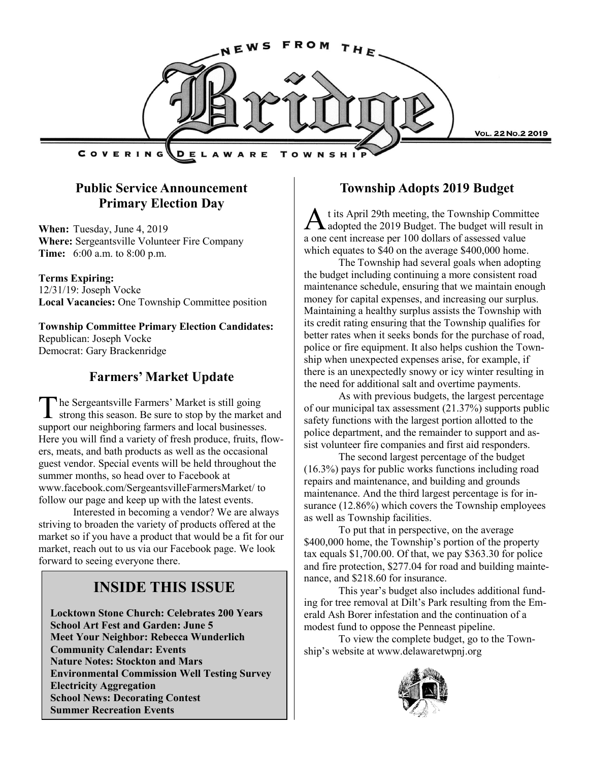

## **Public Service Announcement Primary Election Day**

**When:** Tuesday, June 4, 2019 **Where:** Sergeantsville Volunteer Fire Company **Time:** 6:00 a.m. to 8:00 p.m.

#### **Terms Expiring:**

12/31/19: Joseph Vocke **Local Vacancies:** One Township Committee position

**Township Committee Primary Election Candidates:** Republican: Joseph Vocke Democrat: Gary Brackenridge

## **Farmers' Market Update**

T he Sergeantsville Farmers' Market is still going strong this season. Be sure to stop by the market and support our neighboring farmers and local businesses. Here you will find a variety of fresh produce, fruits, flowers, meats, and bath products as well as the occasional guest vendor. Special events will be held throughout the summer months, so head over to Facebook at www.facebook.com/SergeantsvilleFarmersMarket/ to follow our page and keep up with the latest events.

Interested in becoming a vendor? We are always striving to broaden the variety of products offered at the market so if you have a product that would be a fit for our market, reach out to us via our Facebook page. We look forward to seeing everyone there.

## **INSIDE THIS ISSUE**

**Locktown Stone Church: Celebrates 200 Years School Art Fest and Garden: June 5 Meet Your Neighbor: Rebecca Wunderlich Community Calendar: Events Nature Notes: Stockton and Mars Environmental Commission Well Testing Survey Electricity Aggregation School News: Decorating Contest Summer Recreation Events**

#### **Township Adopts 2019 Budget**

A adopted the 2019 Budget. The budget will result in t its April 29th meeting, the Township Committee a one cent increase per 100 dollars of assessed value which equates to \$40 on the average \$400,000 home.

The Township had several goals when adopting the budget including continuing a more consistent road maintenance schedule, ensuring that we maintain enough money for capital expenses, and increasing our surplus. Maintaining a healthy surplus assists the Township with its credit rating ensuring that the Township qualifies for better rates when it seeks bonds for the purchase of road, police or fire equipment. It also helps cushion the Township when unexpected expenses arise, for example, if there is an unexpectedly snowy or icy winter resulting in the need for additional salt and overtime payments.

As with previous budgets, the largest percentage of our municipal tax assessment (21.37%) supports public safety functions with the largest portion allotted to the police department, and the remainder to support and assist volunteer fire companies and first aid responders.

The second largest percentage of the budget (16.3%) pays for public works functions including road repairs and maintenance, and building and grounds maintenance. And the third largest percentage is for insurance (12.86%) which covers the Township employees as well as Township facilities.

To put that in perspective, on the average \$400,000 home, the Township's portion of the property tax equals \$1,700.00. Of that, we pay \$363.30 for police and fire protection, \$277.04 for road and building maintenance, and \$218.60 for insurance.

This year's budget also includes additional funding for tree removal at Dilt's Park resulting from the Emerald Ash Borer infestation and the continuation of a modest fund to oppose the Penneast pipeline.

To view the complete budget, go to the Township's website at www.delawaretwpnj.org

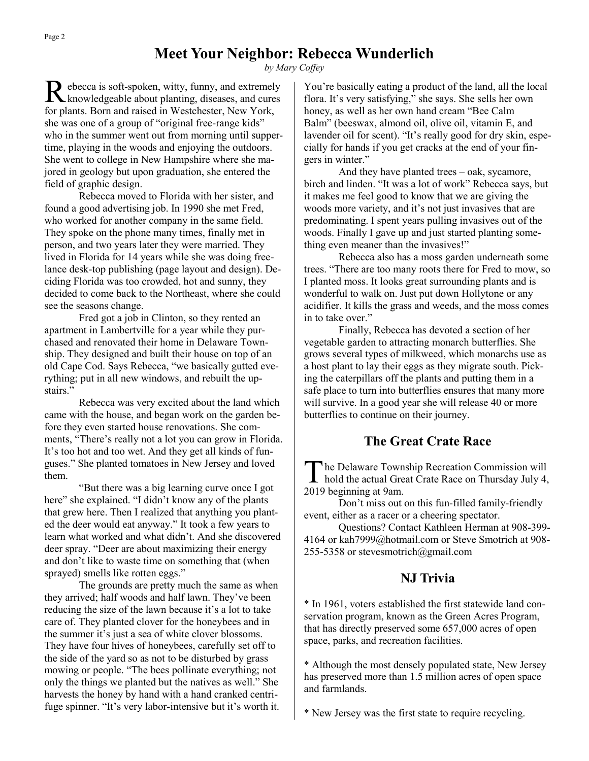## **Meet Your Neighbor: Rebecca Wunderlich**

*by Mary Coffey*

R ebecca is soft-spoken, witty, funny, and extremely<br>knowledgeable about planting, diseases, and cures ebecca is soft-spoken, witty, funny, and extremely for plants. Born and raised in Westchester, New York, she was one of a group of "original free-range kids" who in the summer went out from morning until suppertime, playing in the woods and enjoying the outdoors. She went to college in New Hampshire where she majored in geology but upon graduation, she entered the field of graphic design.

Rebecca moved to Florida with her sister, and found a good advertising job. In 1990 she met Fred, who worked for another company in the same field. They spoke on the phone many times, finally met in person, and two years later they were married. They lived in Florida for 14 years while she was doing freelance desk-top publishing (page layout and design). Deciding Florida was too crowded, hot and sunny, they decided to come back to the Northeast, where she could see the seasons change.

Fred got a job in Clinton, so they rented an apartment in Lambertville for a year while they purchased and renovated their home in Delaware Township. They designed and built their house on top of an old Cape Cod. Says Rebecca, "we basically gutted everything; put in all new windows, and rebuilt the upstairs."

Rebecca was very excited about the land which came with the house, and began work on the garden before they even started house renovations. She comments, "There's really not a lot you can grow in Florida. It's too hot and too wet. And they get all kinds of funguses." She planted tomatoes in New Jersey and loved them.

"But there was a big learning curve once I got here" she explained. "I didn't know any of the plants that grew here. Then I realized that anything you planted the deer would eat anyway." It took a few years to learn what worked and what didn't. And she discovered deer spray. "Deer are about maximizing their energy and don't like to waste time on something that (when sprayed) smells like rotten eggs."

The grounds are pretty much the same as when they arrived; half woods and half lawn. They've been reducing the size of the lawn because it's a lot to take care of. They planted clover for the honeybees and in the summer it's just a sea of white clover blossoms. They have four hives of honeybees, carefully set off to the side of the yard so as not to be disturbed by grass mowing or people. "The bees pollinate everything; not only the things we planted but the natives as well." She harvests the honey by hand with a hand cranked centrifuge spinner. "It's very labor-intensive but it's worth it. You're basically eating a product of the land, all the local flora. It's very satisfying," she says. She sells her own honey, as well as her own hand cream "Bee Calm Balm" (beeswax, almond oil, olive oil, vitamin E, and lavender oil for scent). "It's really good for dry skin, especially for hands if you get cracks at the end of your fingers in winter."

And they have planted trees – oak, sycamore, birch and linden. "It was a lot of work" Rebecca says, but it makes me feel good to know that we are giving the woods more variety, and it's not just invasives that are predominating. I spent years pulling invasives out of the woods. Finally I gave up and just started planting something even meaner than the invasives!"

Rebecca also has a moss garden underneath some trees. "There are too many roots there for Fred to mow, so I planted moss. It looks great surrounding plants and is wonderful to walk on. Just put down Hollytone or any acidifier. It kills the grass and weeds, and the moss comes in to take over."

Finally, Rebecca has devoted a section of her vegetable garden to attracting monarch butterflies. She grows several types of milkweed, which monarchs use as a host plant to lay their eggs as they migrate south. Picking the caterpillars off the plants and putting them in a safe place to turn into butterflies ensures that many more will survive. In a good year she will release 40 or more butterflies to continue on their journey.

### **The Great Crate Race**

The Delaware Township Recreation Commission will<br>hold the actual Great Crate Race on Thursday July 4, he Delaware Township Recreation Commission will 2019 beginning at 9am.

Don't miss out on this fun-filled family-friendly event, either as a racer or a cheering spectator.

Questions? Contact Kathleen Herman at 908-399- 4164 or kah7999@hotmail.com or Steve Smotrich at 908- 255-5358 or stevesmotrich@gmail.com

### **NJ Trivia**

\* In 1961, voters established the first statewide land conservation program, known as the Green Acres Program, that has directly preserved some 657,000 acres of open space, parks, and recreation facilities.

\* Although the most densely populated state, New Jersey has preserved more than 1.5 million acres of open space and farmlands.

\* New Jersey was the first state to require recycling.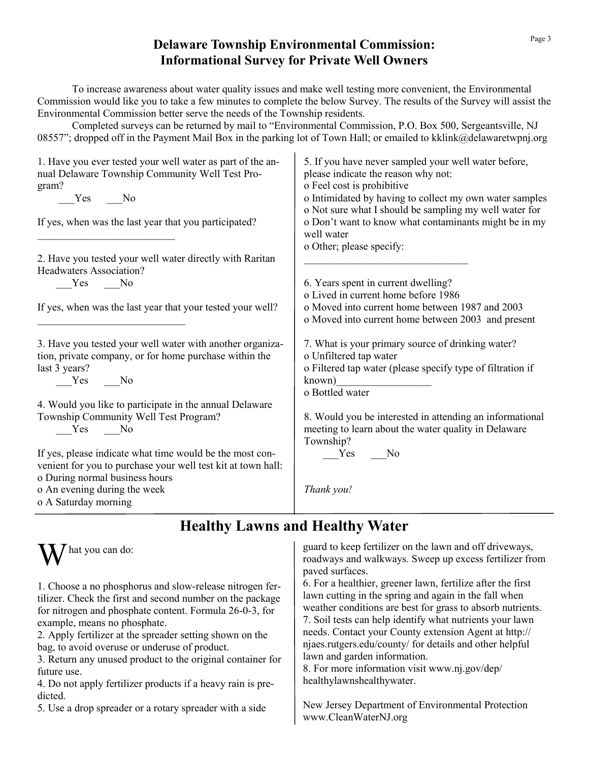## **Delaware Township Environmental Commission: Informational Survey for Private Well Owners**

To increase awareness about water quality issues and make well testing more convenient, the Environmental Commission would like you to take a few minutes to complete the below Survey. The results of the Survey will assist the Environmental Commission better serve the needs of the Township residents.

Completed surveys can be returned by mail to "Environmental Commission, P.O. Box 500, Sergeantsville, NJ 08557"; dropped off in the Payment Mail Box in the parking lot of Town Hall; or emailed to kklink@delawaretwpnj.org

| 5. If you have never sampled your well water before,<br>please indicate the reason why not:<br>o Feel cost is prohibitive |
|---------------------------------------------------------------------------------------------------------------------------|
| o Intimidated by having to collect my own water samples<br>o Not sure what I should be sampling my well water for         |
| o Don't want to know what contaminants might be in my<br>well water                                                       |
| o Other; please specify:                                                                                                  |
|                                                                                                                           |
| 6. Years spent in current dwelling?                                                                                       |
| o Lived in current home before 1986                                                                                       |
| o Moved into current home between 1987 and 2003                                                                           |
| o Moved into current home between 2003 and present                                                                        |
| 7. What is your primary source of drinking water?                                                                         |
| o Unfiltered tap water                                                                                                    |
| o Filtered tap water (please specify type of filtration if                                                                |
| known)                                                                                                                    |
| o Bottled water                                                                                                           |
|                                                                                                                           |
| 8. Would you be interested in attending an informational                                                                  |
| meeting to learn about the water quality in Delaware<br>Township?                                                         |
| Yes No                                                                                                                    |
|                                                                                                                           |
|                                                                                                                           |
| Thank you!                                                                                                                |
|                                                                                                                           |
|                                                                                                                           |

# **Healthy Lawns and Healthy Water**



1. Choose a no phosphorus and slow-release nitrogen fertilizer. Check the first and second number on the package for nitrogen and phosphate content. Formula 26-0-3, for example, means no phosphate.

2. Apply fertilizer at the spreader setting shown on the bag, to avoid overuse or underuse of product.

3. Return any unused product to the original container for future use.

4. Do not apply fertilizer products if a heavy rain is predicted.

5. Use a drop spreader or a rotary spreader with a side

guard to keep fertilizer on the lawn and off driveways, roadways and walkways. Sweep up excess fertilizer from paved surfaces.

6. For a healthier, greener lawn, fertilize after the first lawn cutting in the spring and again in the fall when weather conditions are best for grass to absorb nutrients. 7. Soil tests can help identify what nutrients your lawn needs. Contact your County extension Agent at http:// njaes.rutgers.edu/county/ for details and other helpful lawn and garden information.

8. For more information visit www.nj.gov/dep/ healthylawnshealthywater.

New Jersey Department of Environmental Protection www.CleanWaterNJ.org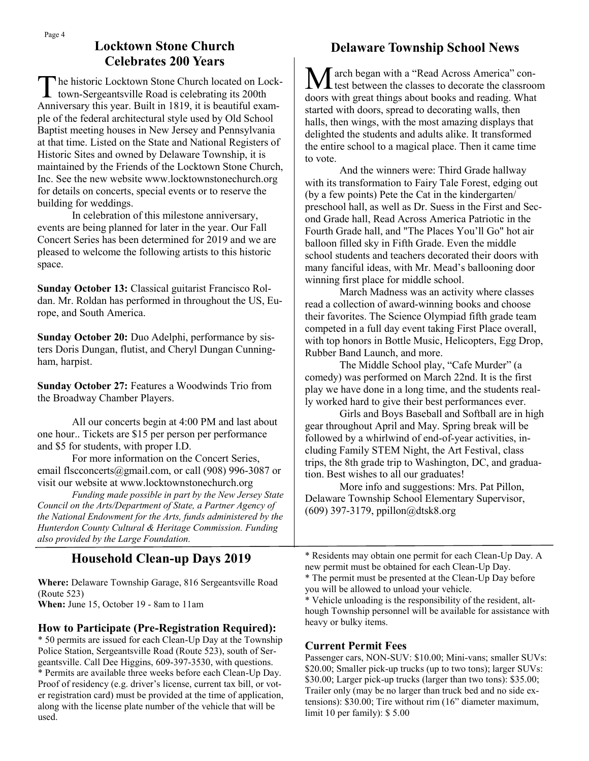## **Locktown Stone Church Celebrates 200 Years**

The historic Locktown Stone Church located on Lot town-Sergeantsville Road is celebrating its 200th The historic Locktown Stone Church located on Lock-Anniversary this year. Built in 1819, it is beautiful example of the federal architectural style used by Old School Baptist meeting houses in New Jersey and Pennsylvania at that time. Listed on the State and National Registers of Historic Sites and owned by Delaware Township, it is maintained by the Friends of the Locktown Stone Church, Inc. See the new website www.locktownstonechurch.org for details on concerts, special events or to reserve the building for weddings.

In celebration of this milestone anniversary, events are being planned for later in the year. Our Fall Concert Series has been determined for 2019 and we are pleased to welcome the following artists to this historic space.

**Sunday October 13:** Classical guitarist Francisco Roldan. Mr. Roldan has performed in throughout the US, Europe, and South America.

**Sunday October 20:** Duo Adelphi, performance by sisters Doris Dungan, flutist, and Cheryl Dungan Cunningham, harpist.

**Sunday October 27:** Features a Woodwinds Trio from the Broadway Chamber Players.

All our concerts begin at 4:00 PM and last about one hour.. Tickets are \$15 per person per performance and \$5 for students, with proper I.D.

For more information on the Concert Series, email flscconcerts@gmail.com, or call (908) 996-3087 or visit our website at www.locktownstonechurch.org

*Funding made possible in part by the New Jersey State Council on the Arts/Department of State, a Partner Agency of the National Endowment for the Arts, funds administered by the Hunterdon County Cultural & Heritage Commission. Funding also provided by the Large Foundation.*

## **Household Clean-up Days 2019**

**Where:** Delaware Township Garage, 816 Sergeantsville Road (Route 523)

**When:** June 15, October 19 - 8am to 11am

#### **How to Participate (Pre-Registration Required):**

\* 50 permits are issued for each Clean-Up Day at the Township Police Station, Sergeantsville Road (Route 523), south of Sergeantsville. Call Dee Higgins, 609-397-3530, with questions. \* Permits are available three weeks before each Clean-Up Day. Proof of residency (e.g. driver's license, current tax bill, or voter registration card) must be provided at the time of application, along with the license plate number of the vehicle that will be used.

## **Delaware Township School News**

March began with a "Read Across America" con-test between the classes to decorate the classroom doors with great things about books and reading. What started with doors, spread to decorating walls, then halls, then wings, with the most amazing displays that delighted the students and adults alike. It transformed the entire school to a magical place. Then it came time to vote.

And the winners were: Third Grade hallway with its transformation to Fairy Tale Forest, edging out (by a few points) Pete the Cat in the kindergarten/ preschool hall, as well as Dr. Suess in the First and Second Grade hall, Read Across America Patriotic in the Fourth Grade hall, and "The Places You'll Go" hot air balloon filled sky in Fifth Grade. Even the middle school students and teachers decorated their doors with many fanciful ideas, with Mr. Mead's ballooning door winning first place for middle school.

March Madness was an activity where classes read a collection of award-winning books and choose their favorites. The Science Olympiad fifth grade team competed in a full day event taking First Place overall, with top honors in Bottle Music, Helicopters, Egg Drop, Rubber Band Launch, and more.

The Middle School play, "Cafe Murder" (a comedy) was performed on March 22nd. It is the first play we have done in a long time, and the students really worked hard to give their best performances ever.

Girls and Boys Baseball and Softball are in high gear throughout April and May. Spring break will be followed by a whirlwind of end-of-year activities, including Family STEM Night, the Art Festival, class trips, the 8th grade trip to Washington, DC, and graduation. Best wishes to all our graduates!

More info and suggestions: Mrs. Pat Pillon, Delaware Township School Elementary Supervisor, (609) 397-3179, ppillon@dtsk8.org

\* Residents may obtain one permit for each Clean-Up Day. A new permit must be obtained for each Clean-Up Day.

\* Vehicle unloading is the responsibility of the resident, although Township personnel will be available for assistance with heavy or bulky items.

#### **Current Permit Fees**

Passenger cars, NON-SUV: \$10.00; Mini-vans; smaller SUVs: \$20.00; Smaller pick-up trucks (up to two tons); larger SUVs: \$30.00; Larger pick-up trucks (larger than two tons): \$35.00; Trailer only (may be no larger than truck bed and no side extensions): \$30.00; Tire without rim (16" diameter maximum, limit 10 per family): \$ 5.00

<sup>\*</sup> The permit must be presented at the Clean-Up Day before you will be allowed to unload your vehicle.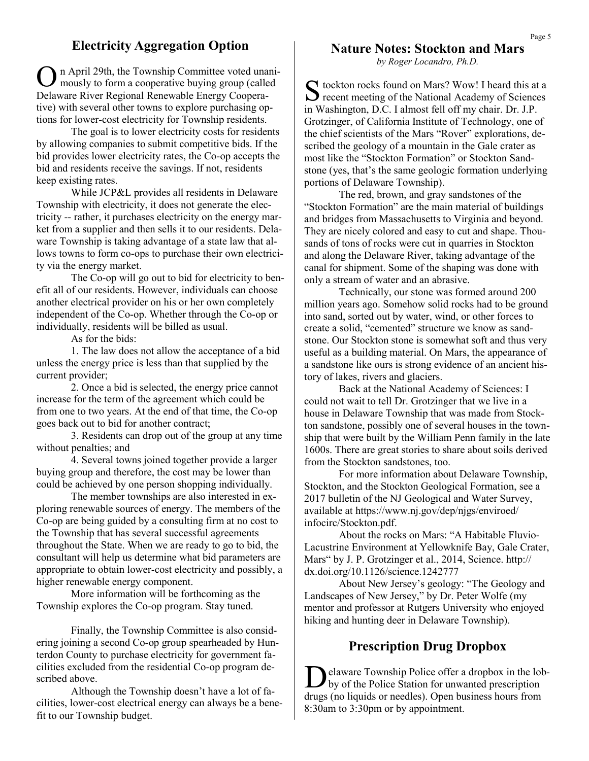### **Electricity Aggregation Option**

O mously to form a cooperative buying group (called n April 29th, the Township Committee voted unani-Delaware River Regional Renewable Energy Cooperative) with several other towns to explore purchasing options for lower-cost electricity for Township residents.

The goal is to lower electricity costs for residents by allowing companies to submit competitive bids. If the bid provides lower electricity rates, the Co-op accepts the bid and residents receive the savings. If not, residents keep existing rates.

While JCP&L provides all residents in Delaware Township with electricity, it does not generate the electricity -- rather, it purchases electricity on the energy market from a supplier and then sells it to our residents. Delaware Township is taking advantage of a state law that allows towns to form co-ops to purchase their own electricity via the energy market.

The Co-op will go out to bid for electricity to benefit all of our residents. However, individuals can choose another electrical provider on his or her own completely independent of the Co-op. Whether through the Co-op or individually, residents will be billed as usual.

As for the bids:

1. The law does not allow the acceptance of a bid unless the energy price is less than that supplied by the current provider;

2. Once a bid is selected, the energy price cannot increase for the term of the agreement which could be from one to two years. At the end of that time, the Co-op goes back out to bid for another contract;

3. Residents can drop out of the group at any time without penalties; and

4. Several towns joined together provide a larger buying group and therefore, the cost may be lower than could be achieved by one person shopping individually.

The member townships are also interested in exploring renewable sources of energy. The members of the Co-op are being guided by a consulting firm at no cost to the Township that has several successful agreements throughout the State. When we are ready to go to bid, the consultant will help us determine what bid parameters are appropriate to obtain lower-cost electricity and possibly, a higher renewable energy component.

More information will be forthcoming as the Township explores the Co-op program. Stay tuned.

Finally, the Township Committee is also considering joining a second Co-op group spearheaded by Hunterdon County to purchase electricity for government facilities excluded from the residential Co-op program described above.

Although the Township doesn't have a lot of facilities, lower-cost electrical energy can always be a benefit to our Township budget.

#### **Nature Notes: Stockton and Mars**

*by Roger Locandro, Ph.D.*

S tockton rocks found on Mars? Wow! I heard this at a recent meeting of the National Academy of Sciences  $\sum$  recent meeting of the National Academy of Sciences in Washington, D.C. I almost fell off my chair. Dr. J.P. Grotzinger, of California Institute of Technology, one of the chief scientists of the Mars "Rover" explorations, described the geology of a mountain in the Gale crater as most like the "Stockton Formation" or Stockton Sandstone (yes, that's the same geologic formation underlying portions of Delaware Township).

The red, brown, and gray sandstones of the "Stockton Formation" are the main material of buildings and bridges from Massachusetts to Virginia and beyond. They are nicely colored and easy to cut and shape. Thousands of tons of rocks were cut in quarries in Stockton and along the Delaware River, taking advantage of the canal for shipment. Some of the shaping was done with only a stream of water and an abrasive.

Technically, our stone was formed around 200 million years ago. Somehow solid rocks had to be ground into sand, sorted out by water, wind, or other forces to create a solid, "cemented" structure we know as sandstone. Our Stockton stone is somewhat soft and thus very useful as a building material. On Mars, the appearance of a sandstone like ours is strong evidence of an ancient history of lakes, rivers and glaciers.

Back at the National Academy of Sciences: I could not wait to tell Dr. Grotzinger that we live in a house in Delaware Township that was made from Stockton sandstone, possibly one of several houses in the township that were built by the William Penn family in the late 1600s. There are great stories to share about soils derived from the Stockton sandstones, too.

For more information about Delaware Township, Stockton, and the Stockton Geological Formation, see a 2017 bulletin of the NJ Geological and Water Survey, available at https://www.nj.gov/dep/njgs/enviroed/ infocirc/Stockton.pdf.

About the rocks on Mars: "A Habitable Fluvio-Lacustrine Environment at Yellowknife Bay, Gale Crater, Mars" by J. P. Grotzinger et al., 2014, Science. http:// dx.doi.org/10.1126/science.1242777

About New Jersey's geology: "The Geology and Landscapes of New Jersey," by Dr. Peter Wolfe (my mentor and professor at Rutgers University who enjoyed hiking and hunting deer in Delaware Township).

### **Prescription Drug Dropbox**

D elaware Township Police offer a dropbox in the lobby of the Police Station for unwanted prescription drugs (no liquids or needles). Open business hours from 8:30am to 3:30pm or by appointment.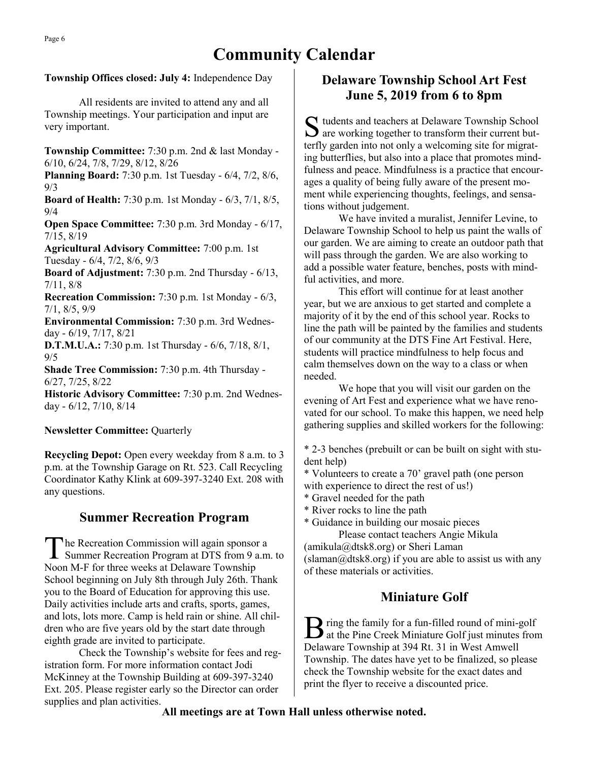# **Community Calendar**

#### **Township Offices closed: July 4:** Independence Day

All residents are invited to attend any and all Township meetings. Your participation and input are very important.

**Township Committee:** 7:30 p.m. 2nd & last Monday - 6/10, 6/24, 7/8, 7/29, 8/12, 8/26

**Planning Board:** 7:30 p.m. 1st Tuesday - 6/4, 7/2, 8/6, 9/3

**Board of Health:** 7:30 p.m. 1st Monday - 6/3, 7/1, 8/5, 9/4

**Open Space Committee:** 7:30 p.m. 3rd Monday - 6/17, 7/15, 8/19

**Agricultural Advisory Committee:** 7:00 p.m. 1st Tuesday - 6/4, 7/2, 8/6, 9/3

**Board of Adjustment:** 7:30 p.m. 2nd Thursday - 6/13, 7/11, 8/8

**Recreation Commission:** 7:30 p.m. 1st Monday - 6/3, 7/1, 8/5, 9/9

**Environmental Commission:** 7:30 p.m. 3rd Wednesday - 6/19, 7/17, 8/21

**D.T.M.U.A.:** 7:30 p.m. 1st Thursday - 6/6, 7/18, 8/1, 9/5

**Shade Tree Commission:** 7:30 p.m. 4th Thursday - 6/27, 7/25, 8/22

**Historic Advisory Committee:** 7:30 p.m. 2nd Wednesday - 6/12, 7/10, 8/14

#### **Newsletter Committee: Quarterly**

**Recycling Depot:** Open every weekday from 8 a.m. to 3 p.m. at the Township Garage on Rt. 523. Call Recycling Coordinator Kathy Klink at 609-397-3240 Ext. 208 with any questions.

## **Summer Recreation Program**

T he Recreation Commission will again sponsor a Summer Recreation Program at DTS from 9 a.m. to Noon M-F for three weeks at Delaware Township School beginning on July 8th through July 26th. Thank you to the Board of Education for approving this use. Daily activities include arts and crafts, sports, games, and lots, lots more. Camp is held rain or shine. All children who are five years old by the start date through eighth grade are invited to participate.

Check the Township's website for fees and registration form. For more information contact Jodi McKinney at the Township Building at 609-397-3240 Ext. 205. Please register early so the Director can order supplies and plan activities.

## **Delaware Township School Art Fest June 5, 2019 from 6 to 8pm**

 $S$  tudents and teachers at Delaware Township School<br>are working together to transform their current but- $\sum$  are working together to transform their current butterfly garden into not only a welcoming site for migrating butterflies, but also into a place that promotes mindfulness and peace. Mindfulness is a practice that encourages a quality of being fully aware of the present moment while experiencing thoughts, feelings, and sensations without judgement.

We have invited a muralist, Jennifer Levine, to Delaware Township School to help us paint the walls of our garden. We are aiming to create an outdoor path that will pass through the garden. We are also working to add a possible water feature, benches, posts with mindful activities, and more.

This effort will continue for at least another year, but we are anxious to get started and complete a majority of it by the end of this school year. Rocks to line the path will be painted by the families and students of our community at the DTS Fine Art Festival. Here, students will practice mindfulness to help focus and calm themselves down on the way to a class or when needed.

We hope that you will visit our garden on the evening of Art Fest and experience what we have renovated for our school. To make this happen, we need help gathering supplies and skilled workers for the following:

\* 2-3 benches (prebuilt or can be built on sight with student help)

\* Volunteers to create a 70' gravel path (one person with experience to direct the rest of us!)

- \* Gravel needed for the path
- \* River rocks to line the path

\* Guidance in building our mosaic pieces Please contact teachers Angie Mikula

(amikula@dtsk8.org) or Sheri Laman  $s$  (slaman $\omega$ dtsk8.org) if you are able to assist us with any of these materials or activities.

## **Miniature Golf**

B ring the family for a fun-filled round of mini-golf<br>at the Pine Creek Miniature Golf just minutes from at the Pine Creek Miniature Golf just minutes from Delaware Township at 394 Rt. 31 in West Amwell Township. The dates have yet to be finalized, so please check the Township website for the exact dates and print the flyer to receive a discounted price.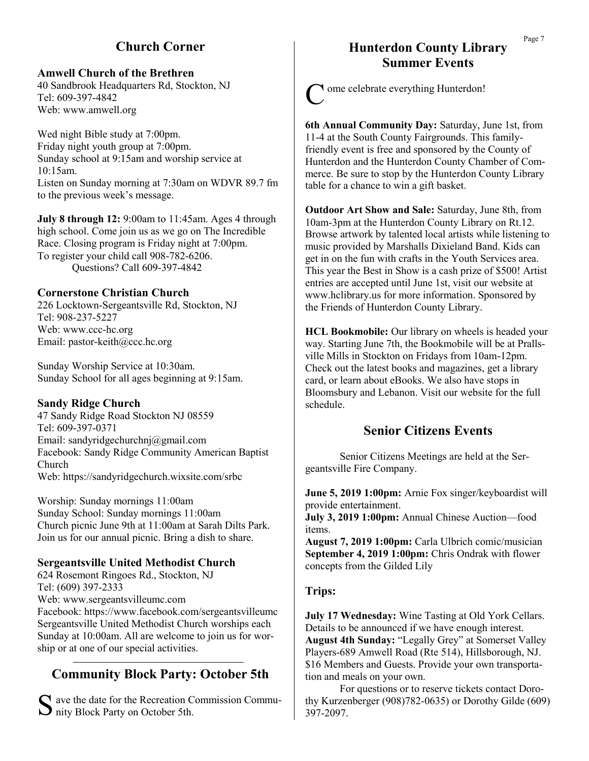## **Church Corner**

#### **Amwell Church of the Brethren**

40 Sandbrook Headquarters Rd, Stockton, NJ Tel: 609-397-4842 Web: www.amwell.org

Wed night Bible study at 7:00pm. Friday night youth group at 7:00pm. Sunday school at 9:15am and worship service at 10:15am. Listen on Sunday morning at 7:30am on WDVR 89.7 fm to the previous week's message.

**July 8 through 12:** 9:00am to 11:45am. Ages 4 through high school. Come join us as we go on The Incredible Race. Closing program is Friday night at 7:00pm. To register your child call 908-782-6206. Questions? Call 609-397-4842

#### **Cornerstone Christian Church**

226 Locktown-Sergeantsville Rd, Stockton, NJ Tel: 908-237-5227 Web: www.ccc-hc.org Email: pastor-keith@ccc.hc.org

Sunday Worship Service at 10:30am. Sunday School for all ages beginning at 9:15am.

#### **Sandy Ridge Church**

47 Sandy Ridge Road Stockton NJ 08559 Tel: 609-397-0371 Email: sandyridgechurchnj@gmail.com Facebook: Sandy Ridge Community American Baptist Church Web: https://sandyridgechurch.wixsite.com/srbc

Worship: Sunday mornings 11:00am Sunday School: Sunday mornings 11:00am Church picnic June 9th at 11:00am at Sarah Dilts Park. Join us for our annual picnic. Bring a dish to share.

#### **Sergeantsville United Methodist Church**

624 Rosemont Ringoes Rd., Stockton, NJ Tel: (609) 397-2333 Web: www.sergeantsvilleumc.com Facebook: https://www.facebook.com/sergeantsvilleumc Sergeantsville United Methodist Church worships each Sunday at 10:00am. All are welcome to join us for worship or at one of our special activities.

## **Community Block Party: October 5th**

S ave the date for the Recreation Construction Construction State State State State State State State State State State State State State State State State State State State State State State State State State State State  $\mathbf{\Sigma}$  ave the date for the Recreation Commission Commu-

## **Hunterdon County Library Summer Events**

C ome celebrate everything Hunterdon!

**6th Annual Community Day:** Saturday, June 1st, from 11-4 at the South County Fairgrounds. This familyfriendly event is free and sponsored by the County of Hunterdon and the Hunterdon County Chamber of Commerce. Be sure to stop by the Hunterdon County Library table for a chance to win a gift basket.

**Outdoor Art Show and Sale:** Saturday, June 8th, from 10am-3pm at the Hunterdon County Library on Rt.12. Browse artwork by talented local artists while listening to music provided by Marshalls Dixieland Band. Kids can get in on the fun with crafts in the Youth Services area. This year the Best in Show is a cash prize of \$500! Artist entries are accepted until June 1st, visit our website at www.hclibrary.us for more information. Sponsored by the Friends of Hunterdon County Library.

**HCL Bookmobile:** Our library on wheels is headed your way. Starting June 7th, the Bookmobile will be at Prallsville Mills in Stockton on Fridays from 10am-12pm. Check out the latest books and magazines, get a library card, or learn about eBooks. We also have stops in Bloomsbury and Lebanon. Visit our website for the full schedule.

#### **Senior Citizens Events**

Senior Citizens Meetings are held at the Sergeantsville Fire Company.

**June 5, 2019 1:00pm:** Arnie Fox singer/keyboardist will provide entertainment.

**July 3, 2019 1:00pm:** Annual Chinese Auction—food items.

**August 7, 2019 1:00pm:** Carla Ulbrich comic/musician **September 4, 2019 1:00pm:** Chris Ondrak with flower concepts from the Gilded Lily

#### **Trips:**

**July 17 Wednesday:** Wine Tasting at Old York Cellars. Details to be announced if we have enough interest. **August 4th Sunday:** "Legally Grey" at Somerset Valley Players-689 Amwell Road (Rte 514), Hillsborough, NJ. \$16 Members and Guests. Provide your own transportation and meals on your own.

For questions or to reserve tickets contact Dorothy Kurzenberger (908)782-0635) or Dorothy Gilde (609) 397-2097.